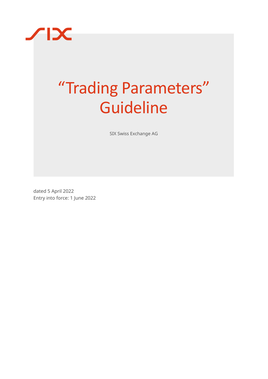

# "Trading Parameters" Guideline

SIX Swiss Exchange AG

dated 5 April 2022 Entry into force: 1 June 2022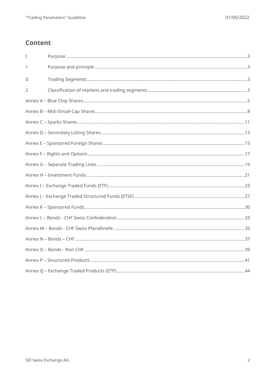# **Content**

| I              |  |
|----------------|--|
| 1              |  |
| $\mathbf{I}$   |  |
| $\overline{2}$ |  |
|                |  |
|                |  |
|                |  |
|                |  |
|                |  |
|                |  |
|                |  |
|                |  |
|                |  |
|                |  |
|                |  |
|                |  |
|                |  |
|                |  |
|                |  |
|                |  |
|                |  |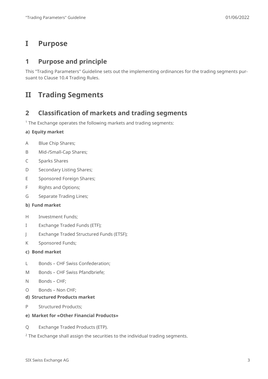# <span id="page-2-0"></span>**I Purpose**

### <span id="page-2-1"></span>**1 Purpose and principle**

This "Trading Parameters" Guideline sets out the implementing ordinances for the trading segments pursuant to Clause 10.4 Trading Rules.

# <span id="page-2-2"></span>**II Trading Segments**

### <span id="page-2-3"></span>**2 Classification of markets and trading segments**

<sup>1</sup> The Exchange operates the following markets and trading segments:

#### **a) Equity market**

- A Blue Chip Shares;
- B Mid-/Small-Cap Shares;
- C Sparks Shares
- D Secondary Listing Shares;
- E Sponsored Foreign Shares;
- F Rights and Options;
- G Separate Trading Lines;

#### **b) Fund market**

- H Investment Funds;
- I Exchange Traded Funds (ETF);
- J Exchange Traded Structured Funds (ETSF);
- K Sponsored Funds;

#### **c) Bond market**

- L Bonds CHF Swiss Confederation;
- M Bonds CHF Swiss Pfandbriefe;
- N Bonds CHF;
- O Bonds Non CHF;

#### **d) Structured Products market**

P Structured Products;

#### **e) Market for «Other Financial Products»**

Q Exchange Traded Products (ETP).

<sup>2</sup> The Exchange shall assign the securities to the individual trading segments.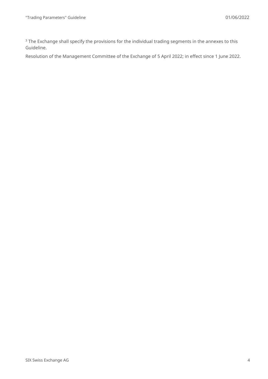<sup>3</sup> The Exchange shall specify the provisions for the individual trading segments in the annexes to this Guideline.

Resolution of the Management Committee of the Exchange of 5 April 2022; in effect since 1 June 2022.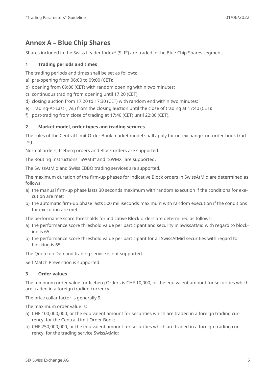# <span id="page-4-0"></span>**Annex A – Blue Chip Shares**

Shares included in the Swiss Leader Index® (SLI®) are traded in the Blue Chip Shares segment.

#### **1 Trading periods and times**

The trading periods and times shall be set as follows:

- a) pre-opening from 06:00 to 09:00 (CET);
- b) opening from 09:00 (CET) with random opening within two minutes;
- c) continuous trading from opening until 17:20 (CET);
- d) closing auction from 17:20 to 17:30 (CET) with random end within two minutes;
- e) Trading-At-Last (TAL) from the closing auction until the close of trading at 17:40 (CET);
- f) post-trading from close of trading at 17:40 (CET) until 22:00 (CET).

#### **2 Market model, order types and trading services**

The rules of the Central Limit Order Book market model shall apply for on-exchange, on-order-book trading.

Normal orders, Iceberg orders and Block orders are supported.

The Routing Instructions "SWMB" and "SWMX" are supported.

The SwissAtMid and Swiss EBBO trading services are supported.

The maximum duration of the firm-up phases for indicative Block orders in SwissAtMid are determined as follows:

- a) the manual firm-up phase lasts 30 seconds maximum with random execution if the conditions for execution are met;
- b) the automatic firm-up phase lasts 500 milliseconds maximum with random execution if the conditions for execution are met.

The performance score thresholds for indicative Block orders are determined as follows:

- a) the performance score threshold value per participant and security in SwissAtMid with regard to blocking is 65.
- b) the performance score threshold value per participant for all SwissAtMid securities with regard to blocking is 65.

The Quote on Demand trading service is not supported.

Self Match Prevention is supported.

#### **3 Order values**

The minimum order value for Iceberg Orders is CHF 10,000, or the equivalent amount for securities which are traded in a foreign trading currency.

The price collar factor is generally 9.

The maximum order value is:

- a) CHF 100,000,000, or the equivalent amount for securities which are traded in a foreign trading currency, for the Central Limit Order Book;
- b) CHF 250,000,000, or the equivalent amount for securities which are traded in a foreign trading currency, for the trading service SwissAtMid;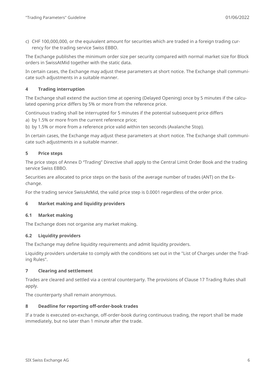c) CHF 100,000,000, or the equivalent amount for securities which are traded in a foreign trading currency for the trading service Swiss EBBO.

The Exchange publishes the minimum order size per security compared with normal market size for Block orders in SwissAtMid together with the static data.

In certain cases, the Exchange may adjust these parameters at short notice. The Exchange shall communicate such adjustments in a suitable manner.

#### **4 Trading interruption**

The Exchange shall extend the auction time at opening (Delayed Opening) once by 5 minutes if the calculated opening price differs by 5% or more from the reference price.

Continuous trading shall be interrupted for 5 minutes if the potential subsequent price differs

a) by 1.5% or more from the current reference price;

b) by 1.5% or more from a reference price valid within ten seconds (Avalanche Stop).

In certain cases, the Exchange may adjust these parameters at short notice. The Exchange shall communicate such adjustments in a suitable manner.

#### **5 Price steps**

The price steps of Annex D "Trading" Directive shall apply to the Central Limit Order Book and the trading service Swiss EBBO.

Securities are allocated to price steps on the basis of the average number of trades (ANT) on the Exchange.

For the trading service SwissAtMid, the valid price step is 0.0001 regardless of the order price.

#### **6 Market making and liquidity providers**

#### **6.1 Market making**

The Exchange does not organise any market making.

#### **6.2 Liquidity providers**

The Exchange may define liquidity requirements and admit liquidity providers.

Liquidity providers undertake to comply with the conditions set out in the "List of Charges under the Trading Rules".

#### **7 Clearing and settlement**

Trades are cleared and settled via a central counterparty. The provisions of Clause 17 Trading Rules shall apply.

The counterparty shall remain anonymous.

#### **8 Deadline for reporting off-order-book trades**

If a trade is executed on-exchange, off-order-book during continuous trading, the report shall be made immediately, but no later than 1 minute after the trade.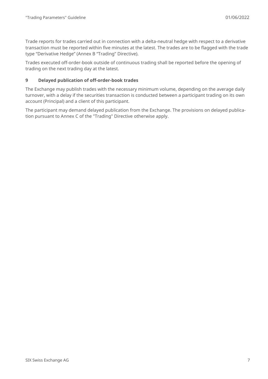Trade reports for trades carried out in connection with a delta-neutral hedge with respect to a derivative transaction must be reported within five minutes at the latest. The trades are to be flagged with the trade type "Derivative Hedge" (Annex B "Trading" Directive).

Trades executed off-order-book outside of continuous trading shall be reported before the opening of trading on the next trading day at the latest.

#### **9 Delayed publication of off-order-book trades**

The Exchange may publish trades with the necessary minimum volume, depending on the average daily turnover, with a delay if the securities transaction is conducted between a participant trading on its own account (Principal) and a client of this participant.

The participant may demand delayed publication from the Exchange. The provisions on delayed publication pursuant to Annex C of the "Trading" Directive otherwise apply.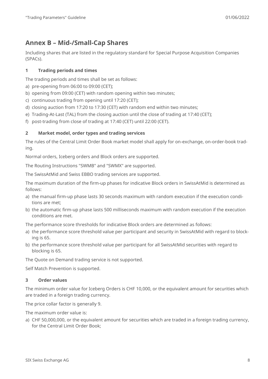# <span id="page-7-0"></span>**Annex B – Mid-/Small-Cap Shares**

Including shares that are listed in the regulatory standard for Special Purpose Acquisition Companies (SPACs).

#### **1 Trading periods and times**

The trading periods and times shall be set as follows:

- a) pre-opening from 06:00 to 09:00 (CET);
- b) opening from 09:00 (CET) with random opening within two minutes;
- c) continuous trading from opening until 17:20 (CET);
- d) closing auction from 17:20 to 17:30 (CET) with random end within two minutes;
- e) Trading-At-Last (TAL) from the closing auction until the close of trading at 17:40 (CET);
- f) post-trading from close of trading at 17:40 (CET) until 22:00 (CET).

#### **2 Market model, order types and trading services**

The rules of the Central Limit Order Book market model shall apply for on-exchange, on-order-book trading.

Normal orders, Iceberg orders and Block orders are supported.

The Routing Instructions "SWMB" and "SWMX" are supported.

The SwissAtMid and Swiss EBBO trading services are supported.

The maximum duration of the firm-up phases for indicative Block orders in SwissAtMid is determined as follows:

- a) the manual firm-up phase lasts 30 seconds maximum with random execution if the execution conditions are met;
- b) the automatic firm-up phase lasts 500 milliseconds maximum with random execution if the execution conditions are met.

The performance score thresholds for indicative Block orders are determined as follows:

- a) the performance score threshold value per participant and security in SwissAtMid with regard to blocking is 65.
- b) the performance score threshold value per participant for all SwissAtMid securities with regard to blocking is 65.

The Quote on Demand trading service is not supported.

Self Match Prevention is supported.

#### **3 Order values**

The minimum order value for Iceberg Orders is CHF 10,000, or the equivalent amount for securities which are traded in a foreign trading currency.

The price collar factor is generally 9.

The maximum order value is:

a) CHF 50,000,000, or the equivalent amount for securities which are traded in a foreign trading currency, for the Central Limit Order Book;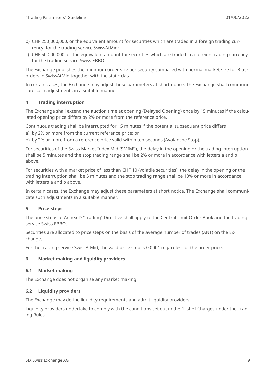- b) CHF 250,000,000, or the equivalent amount for securities which are traded in a foreign trading currency, for the trading service SwissAtMid;
- c) CHF 50,000,000, or the equivalent amount for securities which are traded in a foreign trading currency for the trading service Swiss EBBO.

The Exchange publishes the minimum order size per security compared with normal market size for Block orders in SwissAtMid together with the static data.

In certain cases, the Exchange may adjust these parameters at short notice. The Exchange shall communicate such adjustments in a suitable manner.

#### **4 Trading interruption**

The Exchange shall extend the auction time at opening (Delayed Opening) once by 15 minutes if the calculated opening price differs by 2% or more from the reference price.

Continuous trading shall be interrupted for 15 minutes if the potential subsequent price differs

a) by 2% or more from the current reference price; or

b) by 2% or more from a reference price valid within ten seconds (Avalanche Stop).

For securities of the Swiss Market Index Mid (SMIM®), the delay in the opening or the trading interruption shall be 5 minutes and the stop trading range shall be 2% or more in accordance with letters a and b above.

For securities with a market price of less than CHF 10 (volatile securities), the delay in the opening or the trading interruption shall be 5 minutes and the stop trading range shall be 10% or more in accordance with letters a and **b** above.

In certain cases, the Exchange may adjust these parameters at short notice. The Exchange shall communicate such adjustments in a suitable manner.

#### **5 Price steps**

The price steps of Annex D "Trading" Directive shall apply to the Central Limit Order Book and the trading service Swiss EBBO.

Securities are allocated to price steps on the basis of the average number of trades (ANT) on the Exchange.

For the trading service SwissAtMid, the valid price step is 0.0001 regardless of the order price.

#### **6 Market making and liquidity providers**

#### **6.1 Market making**

The Exchange does not organise any market making.

#### **6.2 Liquidity providers**

The Exchange may define liquidity requirements and admit liquidity providers.

Liquidity providers undertake to comply with the conditions set out in the "List of Charges under the Trading Rules".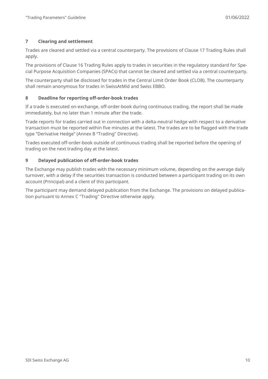#### **7 Clearing and settlement**

Trades are cleared and settled via a central counterparty. The provisions of Clause 17 Trading Rules shall apply.

The provisions of Clause 16 Trading Rules apply to trades in securities in the regulatory standard for Special Purpose Acquisition Companies (SPACs) that cannot be cleared and settled via a central counterparty.

The counterparty shall be disclosed for trades in the Central Limit Order Book (CLOB). The counterparty shall remain anonymous for trades in SwissAtMid and Swiss EBBO.

#### **8 Deadline for reporting off-order-book trades**

If a trade is executed on-exchange, off-order-book during continuous trading, the report shall be made immediately, but no later than 1 minute after the trade.

Trade reports for trades carried out in connection with a delta-neutral hedge with respect to a derivative transaction must be reported within five minutes at the latest. The trades are to be flagged with the trade type "Derivative Hedge" (Annex B "Trading" Directive).

Trades executed off-order-book outside of continuous trading shall be reported before the opening of trading on the next trading day at the latest.

#### **9 Delayed publication of off-order-book trades**

The Exchange may publish trades with the necessary minimum volume, depending on the average daily turnover, with a delay if the securities transaction is conducted between a participant trading on its own account (Principal) and a client of this participant.

The participant may demand delayed publication from the Exchange. The provisions on delayed publication pursuant to Annex C "Trading" Directive otherwise apply.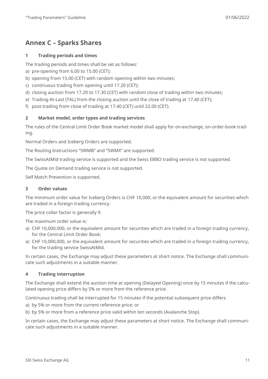# <span id="page-10-0"></span>**Annex C – Sparks Shares**

#### **1 Trading periods and times**

The trading periods and times shall be set as follows:

- a) pre-opening from 6.00 to 15.00 (CET);
- b) opening from 15.00 (CET) with random opening within two minutes;
- c) continuous trading from opening until 17.20 (CET);
- d) closing auction from 17.20 to 17.30 (CET) with random close of trading within two minutes;
- e) Trading-At-Last (TAL) from the closing auction until the close of trading at 17.40 (CET);
- f) post-trading from close of trading at 17.40 (CET) until 22.00 (CET).

#### **2 Market model, order types and trading services**

The rules of the Central Limit Order Book market model shall apply for on-exchange, on-order-book trading.

Normal Orders and Iceberg Orders are supported.

The Routing Instructions "SWMB" and "SWMX" are supported.

The SwissAtMid trading service is supported and the Swiss EBBO trading service is not supported.

The Quote on Demand trading service is not supported.

Self Match Prevention is supported.

#### **3 Order values**

The minimum order value for Iceberg Orders is CHF 10,000, or the equivalent amount for securities which are traded in a foreign trading currency.

The price collar factor is generally 9.

The maximum order value is:

- a) CHF 10,000,000, or the equivalent amount for securities which are traded in a foreign trading currency, for the Central Limit Order Book;
- a) CHF 10,000,000, or the equivalent amount for securities which are traded in a foreign trading currency, for the trading service SwissAtMid.

In certain cases, the Exchange may adjust these parameters at short notice. The Exchange shall communicate such adjustments in a suitable manner.

#### **4 Trading interruption**

The Exchange shall extend the auction time at opening (Delayed Opening) once by 15 minutes if the calculated opening price differs by 5% or more from the reference price.

Continuous trading shall be interrupted for 15 minutes if the potential subsequent price differs

- a) by 5% or more from the current reference price; or
- b) by 5% or more from a reference price valid within ten seconds (Avalanche Stop).

In certain cases, the Exchange may adjust these parameters at short notice. The Exchange shall communicate such adjustments in a suitable manner.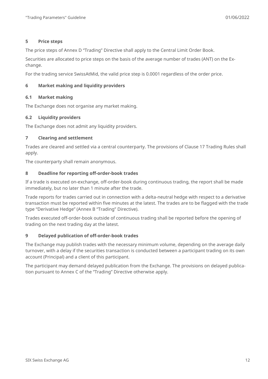#### **5 Price steps**

The price steps of Annex D "Trading" Directive shall apply to the Central Limit Order Book.

Securities are allocated to price steps on the basis of the average number of trades (ANT) on the Exchange.

For the trading service SwissAtMid, the valid price step is 0.0001 regardless of the order price.

#### **6 Market making and liquidity providers**

#### **6.1 Market making**

The Exchange does not organise any market making.

#### **6.2 Liquidity providers**

The Exchange does not admit any liquidity providers.

#### **7 Clearing and settlement**

Trades are cleared and settled via a central counterparty. The provisions of Clause 17 Trading Rules shall apply.

The counterparty shall remain anonymous.

#### **8 Deadline for reporting off-order-book trades**

If a trade is executed on-exchange, off-order-book during continuous trading, the report shall be made immediately, but no later than 1 minute after the trade.

Trade reports for trades carried out in connection with a delta-neutral hedge with respect to a derivative transaction must be reported within five minutes at the latest. The trades are to be flagged with the trade type "Derivative Hedge" (Annex B "Trading" Directive).

Trades executed off-order-book outside of continuous trading shall be reported before the opening of trading on the next trading day at the latest.

#### **9 Delayed publication of off-order-book trades**

The Exchange may publish trades with the necessary minimum volume, depending on the average daily turnover, with a delay if the securities transaction is conducted between a participant trading on its own account (Principal) and a client of this participant.

The participant may demand delayed publication from the Exchange. The provisions on delayed publication pursuant to Annex C of the "Trading" Directive otherwise apply.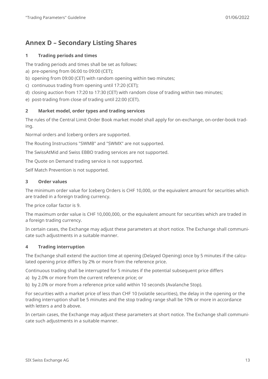# <span id="page-12-0"></span>**Annex D – Secondary Listing Shares**

#### **1 Trading periods and times**

The trading periods and times shall be set as follows:

- a) pre-opening from 06:00 to 09:00 (CET);
- b) opening from 09:00 (CET) with random opening within two minutes;
- c) continuous trading from opening until 17:20 (CET);
- d) closing auction from 17:20 to 17:30 (CET) with random close of trading within two minutes;
- e) post-trading from close of trading until 22:00 (CET).

#### **2 Market model, order types and trading services**

The rules of the Central Limit Order Book market model shall apply for on-exchange, on-order-book trading.

Normal orders and Iceberg orders are supported.

The Routing Instructions "SWMB" and "SWMX" are not supported.

The SwissAtMid and Swiss EBBO trading services are not supported.

The Quote on Demand trading service is not supported.

Self Match Prevention is not supported.

#### **3 Order values**

The minimum order value for Iceberg Orders is CHF 10,000, or the equivalent amount for securities which are traded in a foreign trading currency.

The price collar factor is 9.

The maximum order value is CHF 10,000,000, or the equivalent amount for securities which are traded in a foreign trading currency.

In certain cases, the Exchange may adjust these parameters at short notice. The Exchange shall communicate such adjustments in a suitable manner.

#### **4 Trading interruption**

The Exchange shall extend the auction time at opening (Delayed Opening) once by 5 minutes if the calculated opening price differs by 2% or more from the reference price.

Continuous trading shall be interrupted for 5 minutes if the potential subsequent price differs

a) by 2.0% or more from the current reference price; or

b) by 2.0% or more from a reference price valid within 10 seconds (Avalanche Stop).

For securities with a market price of less than CHF 10 (volatile securities), the delay in the opening or the trading interruption shall be 5 minutes and the stop trading range shall be 10% or more in accordance with letters a and b above.

In certain cases, the Exchange may adjust these parameters at short notice. The Exchange shall communicate such adjustments in a suitable manner.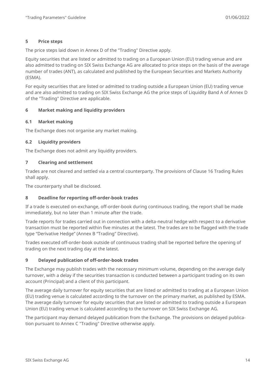#### **5 Price steps**

The price steps laid down in Annex D of the "Trading" Directive apply.

Equity securities that are listed or admitted to trading on a European Union (EU) trading venue and are also admitted to trading on SIX Swiss Exchange AG are allocated to price steps on the basis of the average number of trades (ANT), as calculated and published by the European Securities and Markets Authority (ESMA).

For equity securities that are listed or admitted to trading outside a European Union (EU) trading venue and are also admitted to trading on SIX Swiss Exchange AG the price steps of Liquidity Band A of Annex D of the "Trading" Directive are applicable.

#### **6 Market making and liquidity providers**

#### **6.1 Market making**

The Exchange does not organise any market making.

#### **6.2 Liquidity providers**

The Exchange does not admit any liquidity providers.

#### **7 Clearing and settlement**

Trades are not cleared and settled via a central counterparty. The provisions of Clause 16 Trading Rules shall apply.

The counterparty shall be disclosed.

#### **8 Deadline for reporting off-order-book trades**

If a trade is executed on-exchange, off-order-book during continuous trading, the report shall be made immediately, but no later than 1 minute after the trade.

Trade reports for trades carried out in connection with a delta-neutral hedge with respect to a derivative transaction must be reported within five minutes at the latest. The trades are to be flagged with the trade type "Derivative Hedge" (Annex B "Trading" Directive).

Trades executed off-order-book outside of continuous trading shall be reported before the opening of trading on the next trading day at the latest.

#### **9 Delayed publication of off-order-book trades**

The Exchange may publish trades with the necessary minimum volume, depending on the average daily turnover, with a delay if the securities transaction is conducted between a participant trading on its own account (Principal) and a client of this participant.

The average daily turnover for equity securities that are listed or admitted to trading at a European Union (EU) trading venue is calculated according to the turnover on the primary market, as published by ESMA. The average daily turnover for equity securities that are listed or admitted to trading outside a European Union (EU) trading venue is calculated according to the turnover on SIX Swiss Exchange AG.

The participant may demand delayed publication from the Exchange. The provisions on delayed publication pursuant to Annex C "Trading" Directive otherwise apply.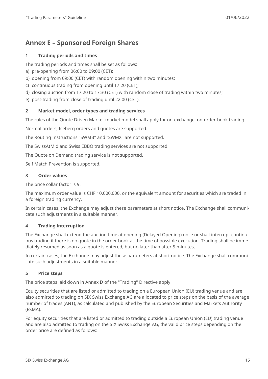# <span id="page-14-0"></span>**Annex E – Sponsored Foreign Shares**

#### **1 Trading periods and times**

The trading periods and times shall be set as follows:

- a) pre-opening from 06:00 to 09:00 (CET);
- b) opening from 09:00 (CET) with random opening within two minutes;
- c) continuous trading from opening until 17:20 (CET);
- d) closing auction from 17:20 to 17:30 (CET) with random close of trading within two minutes;
- e) post-trading from close of trading until 22:00 (CET).

#### **2 Market model, order types and trading services**

The rules of the Quote Driven Market market model shall apply for on-exchange, on-order-book trading.

Normal orders, Iceberg orders and quotes are supported.

The Routing Instructions "SWMB" and "SWMX" are not supported.

The SwissAtMid and Swiss EBBO trading services are not supported.

The Quote on Demand trading service is not supported.

Self Match Prevention is supported.

#### **3 Order values**

The price collar factor is 9.

The maximum order value is CHF 10,000,000, or the equivalent amount for securities which are traded in a foreign trading currency.

In certain cases, the Exchange may adjust these parameters at short notice. The Exchange shall communicate such adjustments in a suitable manner.

#### **4 Trading interruption**

The Exchange shall extend the auction time at opening (Delayed Opening) once or shall interrupt continuous trading if there is no quote in the order book at the time of possible execution. Trading shall be immediately resumed as soon as a quote is entered, but no later than after 5 minutes.

In certain cases, the Exchange may adjust these parameters at short notice. The Exchange shall communicate such adjustments in a suitable manner.

#### **5 Price steps**

The price steps laid down in Annex D of the "Trading" Directive apply.

Equity securities that are listed or admitted to trading on a European Union (EU) trading venue and are also admitted to trading on SIX Swiss Exchange AG are allocated to price steps on the basis of the average number of trades (ANT), as calculated and published by the European Securities and Markets Authority (ESMA).

For equity securities that are listed or admitted to trading outside a European Union (EU) trading venue and are also admitted to trading on the SIX Swiss Exchange AG, the valid price steps depending on the order price are defined as follows: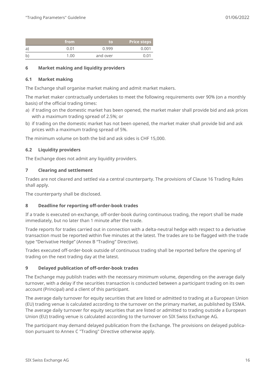|    | from              | to       | <b>Price steps</b> |
|----|-------------------|----------|--------------------|
| a' | 0.01              | 0.999    | 0.001              |
| b  | 1.00 <sub>1</sub> | and over | በ በ1               |

#### **6 Market making and liquidity providers**

#### **6.1 Market making**

The Exchange shall organise market making and admit market makers.

The market maker contractually undertakes to meet the following requirements over 90% (on a monthly basis) of the official trading times:

- a) if trading on the domestic market has been opened, the market maker shall provide bid and ask prices with a maximum trading spread of 2.5%; or
- b) if trading on the domestic market has not been opened, the market maker shall provide bid and ask prices with a maximum trading spread of 5%.

The minimum volume on both the bid and ask sides is CHF 15,000.

#### **6.2 Liquidity providers**

The Exchange does not admit any liquidity providers.

#### **7 Clearing and settlement**

Trades are not cleared and settled via a central counterparty. The provisions of Clause 16 Trading Rules shall apply.

The counterparty shall be disclosed.

#### **8 Deadline for reporting off-order-book trades**

If a trade is executed on-exchange, off-order-book during continuous trading, the report shall be made immediately, but no later than 1 minute after the trade.

Trade reports for trades carried out in connection with a delta-neutral hedge with respect to a derivative transaction must be reported within five minutes at the latest. The trades are to be flagged with the trade type "Derivative Hedge" (Annex B "Trading" Directive).

Trades executed off-order-book outside of continuous trading shall be reported before the opening of trading on the next trading day at the latest.

#### **9 Delayed publication of off-order-book trades**

The Exchange may publish trades with the necessary minimum volume, depending on the average daily turnover, with a delay if the securities transaction is conducted between a participant trading on its own account (Principal) and a client of this participant.

The average daily turnover for equity securities that are listed or admitted to trading at a European Union (EU) trading venue is calculated according to the turnover on the primary market, as published by ESMA. The average daily turnover for equity securities that are listed or admitted to trading outside a European Union (EU) trading venue is calculated according to the turnover on SIX Swiss Exchange AG.

The participant may demand delayed publication from the Exchange. The provisions on delayed publication pursuant to Annex C "Trading" Directive otherwise apply.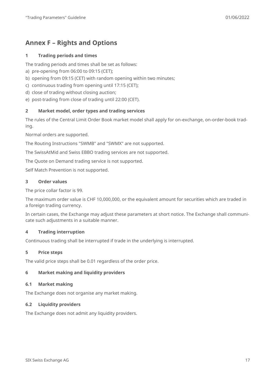# <span id="page-16-0"></span>**Annex F – Rights and Options**

#### **1 Trading periods and times**

The trading periods and times shall be set as follows:

- a) pre-opening from 06:00 to 09:15 (CET);
- b) opening from 09:15 (CET) with random opening within two minutes;
- c) continuous trading from opening until 17:15 (CET);
- d) close of trading without closing auction;
- e) post-trading from close of trading until 22:00 (CET).

#### **2 Market model, order types and trading services**

The rules of the Central Limit Order Book market model shall apply for on-exchange, on-order-book trading.

Normal orders are supported.

The Routing Instructions "SWMB" and "SWMX" are not supported.

The SwissAtMid and Swiss EBBO trading services are not supported.

The Quote on Demand trading service is not supported.

Self Match Prevention is not supported.

#### **3 Order values**

The price collar factor is 99.

The maximum order value is CHF 10,000,000, or the equivalent amount for securities which are traded in a foreign trading currency.

In certain cases, the Exchange may adjust these parameters at short notice. The Exchange shall communicate such adjustments in a suitable manner.

#### **4 Trading interruption**

Continuous trading shall be interrupted if trade in the underlying is interrupted.

#### **5 Price steps**

The valid price steps shall be 0.01 regardless of the order price.

#### **6 Market making and liquidity providers**

#### **6.1 Market making**

The Exchange does not organise any market making.

#### **6.2 Liquidity providers**

The Exchange does not admit any liquidity providers.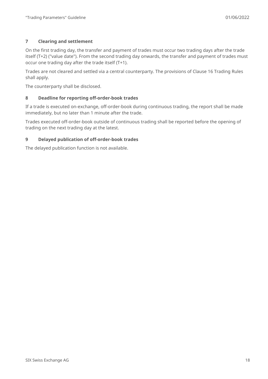#### **7 Clearing and settlement**

On the first trading day, the transfer and payment of trades must occur two trading days after the trade itself (T+2) ("value date"). From the second trading day onwards, the transfer and payment of trades must occur one trading day after the trade itself (T+1).

Trades are not cleared and settled via a central counterparty. The provisions of Clause 16 Trading Rules shall apply.

The counterparty shall be disclosed.

#### **8 Deadline for reporting off-order-book trades**

If a trade is executed on-exchange, off-order-book during continuous trading, the report shall be made immediately, but no later than 1 minute after the trade.

Trades executed off-order-book outside of continuous trading shall be reported before the opening of trading on the next trading day at the latest.

#### **9 Delayed publication of off-order-book trades**

The delayed publication function is not available.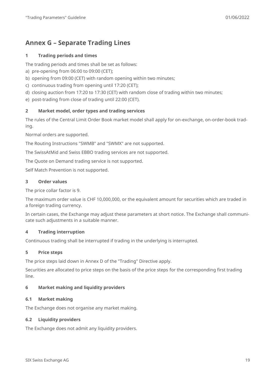# <span id="page-18-0"></span>**Annex G – Separate Trading Lines**

#### **1 Trading periods and times**

The trading periods and times shall be set as follows:

- a) pre-opening from 06:00 to 09:00 (CET);
- b) opening from 09:00 (CET) with random opening within two minutes;
- c) continuous trading from opening until 17:20 (CET);
- d) closing auction from 17:20 to 17:30 (CET) with random close of trading within two minutes;
- e) post-trading from close of trading until 22:00 (CET).

#### **2 Market model, order types and trading services**

The rules of the Central Limit Order Book market model shall apply for on-exchange, on-order-book trading.

Normal orders are supported.

The Routing Instructions "SWMB" and "SWMX" are not supported.

The SwissAtMid and Swiss EBBO trading services are not supported.

The Quote on Demand trading service is not supported.

Self Match Prevention is not supported.

#### **3 Order values**

The price collar factor is 9.

The maximum order value is CHF 10,000,000, or the equivalent amount for securities which are traded in a foreign trading currency.

In certain cases, the Exchange may adjust these parameters at short notice. The Exchange shall communicate such adjustments in a suitable manner.

#### **4 Trading interruption**

Continuous trading shall be interrupted if trading in the underlying is interrupted.

#### **5 Price steps**

The price steps laid down in Annex D of the "Trading" Directive apply.

Securities are allocated to price steps on the basis of the price steps for the corresponding first trading line.

#### **6 Market making and liquidity providers**

#### **6.1 Market making**

The Exchange does not organise any market making.

#### **6.2 Liquidity providers**

The Exchange does not admit any liquidity providers.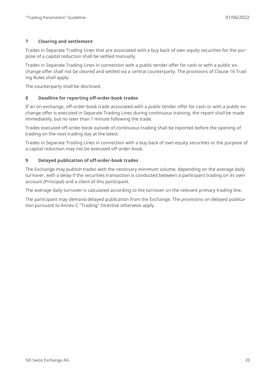#### **7 Clearing and settlement**

Trades in Separate Trading Lines that are associated with a buy back of own equity securities for the purpose of a capital reduction shall be settled manually.

Trades in Separate Trading Lines in connection with a public tender offer for cash or with a public exchange offer shall not be cleared and settled via a central counterparty. The provisions of Clause 16 Trading Rules shall apply.

The counterparty shall be disclosed.

#### **8 Deadline for reporting off-order-book trades**

If an on-exchange, off-order-book trade associated with a public tender offer for cash or with a public exchange offer is executed in Separate Trading Lines during continuous training, the report shall be made immediately, but no later than 1 minute following the trade.

Trades executed off-order-book outside of continuous trading shall be reported before the opening of trading on the next trading day at the latest.

Trades in Separate Trading Lines in connection with a buy back of own equity securities or the purpose of a capital reduction may not be executed off-order-book.

#### **9 Delayed publication of off-order-book trades**

The Exchange may publish trades with the necessary minimum volume, depending on the average daily turnover, with a delay if the securities transaction is conducted between a participant trading on its own account (Principal) and a client of this participant.

The average daily turnover is calculated according to the turnover on the relevant primary trading line.

The participant may demand delayed publication from the Exchange. The provisions on delayed publication pursuant to Annex C "Trading" Directive otherwise apply.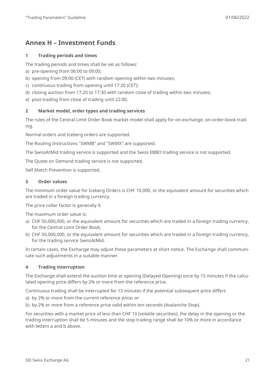# <span id="page-20-0"></span>**Annex H – Investment Funds**

#### **1 Trading periods and times**

The trading periods and times shall be set as follows:

- a) pre-opening from 06:00 to 09:00;
- b) opening from 09:00 (CET) with random opening within two minutes;
- c) continuous trading from opening until 17:20 (CET);
- d) closing auction from 17:20 to 17:30 with random close of trading within two minutes;
- e) post-trading from close of trading until 22:00.

#### **2 Market model, order types and trading services**

The rules of the Central Limit Order Book market model shall apply for on-exchange, on-order-book trading.

Normal orders and Iceberg orders are supported.

The Routing Instructions "SWMB" and "SWMX" are supported.

The SwissAtMid trading service is supported and the Swiss EBBO trading service is not supported.

The Quote on Demand trading service is not supported.

Self Match Prevention is supported.

#### **3 Order values**

The minimum order value for Iceberg Orders is CHF 10,000, or the equivalent amount for securities which are traded in a foreign trading currency.

The price collar factor is generally 9.

The maximum order value is:

- a) CHF 50,000,000, or the equivalent amount for securities which are traded in a foreign trading currency, for the Central Limit Order Book;
- b) CHF 50,000,000, or the equivalent amount for securities which are traded in a foreign trading currency, for the trading service SwissAtMid.

In certain cases, the Exchange may adjust these parameters at short notice. The Exchange shall communicate such adjustments in a suitable manner.

#### **4 Trading interruption**

The Exchange shall extend the auction time at opening (Delayed Opening) once by 15 minutes if the calculated opening price differs by 2% or more from the reference price.

Continuous trading shall be interrupted for 15 minutes if the potential subsequent price differs

- a) by 2% or more from the current reference price; or
- b) by 2% or more from a reference price valid within ten seconds (Avalanche Stop).

For securities with a market price of less than CHF 10 (volatile securities), the delay in the opening or the trading interruption shall be 5 minutes and the stop trading range shall be 10% or more in accordance with letters a and b above.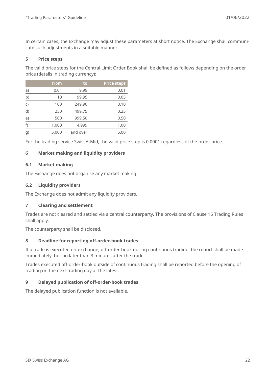In certain cases, the Exchange may adjust these parameters at short notice. The Exchange shall communicate such adjustments in a suitable manner.

#### **5 Price steps**

The valid price steps for the Central Limit Order Book shall be defined as follows depending on the order price (details in trading currency):

|    | from  | to       | <b>Price steps</b> |
|----|-------|----------|--------------------|
| a) | 0.01  | 9.99     | 0.01               |
| b) | 10    | 99.95    | 0.05               |
| C) | 100   | 249.90   | 0.10               |
| d) | 250   | 499.75   | 0.25               |
| e) | 500   | 999.50   | 0.50               |
| f) | 1,000 | 4,999    | 1.00               |
| g) | 5,000 | and over | 5.00               |

For the trading service SwissAtMid, the valid price step is 0.0001 regardless of the order price.

#### **6 Market making and liquidity providers**

#### **6.1 Market making**

The Exchange does not organise any market making.

#### **6.2 Liquidity providers**

The Exchange does not admit any liquidity providers.

#### **7 Clearing and settlement**

Trades are not cleared and settled via a central counterparty. The provisions of Clause 16 Trading Rules shall apply.

The counterparty shall be disclosed.

#### **8 Deadline for reporting off-order-book trades**

If a trade is executed on-exchange, off-order-book during continuous trading, the report shall be made immediately, but no later than 3 minutes after the trade.

Trades executed off-order-book outside of continuous trading shall be reported before the opening of trading on the next trading day at the latest.

#### **9 Delayed publication of off-order-book trades**

The delayed publication function is not available.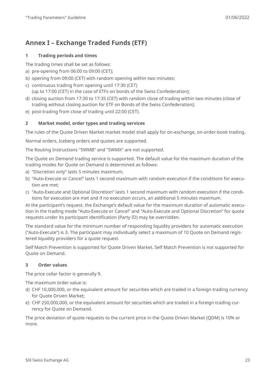# <span id="page-22-0"></span>**Annex I – Exchange Traded Funds (ETF)**

#### **1 Trading periods and times**

The trading times shall be set as follows:

- a) pre-opening from 06:00 to 09:00 (CET);
- b) opening from 09:00 (CET) with random opening within two minutes;
- c) continuous trading from opening until 17:30 (CET) (up to 17:00 (CET) in the case of ETFs on bonds of the Swiss Confederation);
- d) closing auction from 17:30 to 17:35 (CET) with random close of trading within two minutes (close of trading without closing auction for ETF on Bonds of the Swiss Confederation);
- e) post-trading from close of trading until 22:00 (CET).

#### **2 Market model, order types and trading services**

The rules of the Quote Driven Market market model shall apply for on-exchange, on-order-book trading.

Normal orders, Iceberg orders and quotes are supported.

The Routing Instructions "SWMB" and "SWMX" are not supported.

The Quote on Demand trading service is supported. The default value for the maximum duration of the trading modes for Quote on Demand is determined as follows:

- a) "Discretion only" lasts 5 minutes maximum;
- b) "Auto-Execute or Cancel" lasts 1 second maximum with random execution if the conditions for execution are met;
- c) "Auto-Execute and Optional Discretion" lasts 1 second maximum with random execution if the conditions for execution are met and if no execution occurs, an additional 5 minutes maximum.

At the participant's request, the Exchange's default value for the maximum duration of automatic execution in the trading mode "Auto-Execute or Cancel" and "Auto-Execute and Optional Discretion" for quote requests under its participant identification (Party ID) may be overridden.

The standard value for the minimum number of responding liquidity providers for automatic execution ("Auto-Execute") is 3. The participant may individually select a maximum of 10 Quote on Demand registered liquidity providers for a quote request.

Self Match Prevention is supported for Quote Driven Market. Self Match Prevention is not supported for Quote on Demand.

#### **3 Order values**

The price collar factor is generally 9.

The maximum order value is:

- d) CHF 10,000,000, or the equivalent amount for securities which are traded in a foreign trading currency for Quote Driven Market;
- e) CHF 250,000,000, or the equivalent amount for securities which are traded in a foreign trading currency for Quote on Demand.

The price deviation of quote requests to the current price in the Quote Driven Market (QDM) is 10% or more.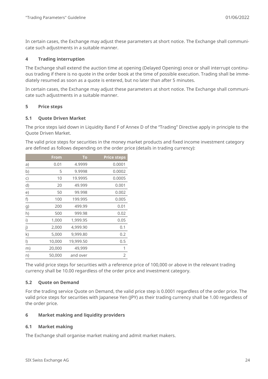In certain cases, the Exchange may adjust these parameters at short notice. The Exchange shall communicate such adjustments in a suitable manner.

#### **4 Trading interruption**

The Exchange shall extend the auction time at opening (Delayed Opening) once or shall interrupt continuous trading if there is no quote in the order book at the time of possible execution. Trading shall be immediately resumed as soon as a quote is entered, but no later than after 5 minutes.

In certain cases, the Exchange may adjust these parameters at short notice. The Exchange shall communicate such adjustments in a suitable manner.

#### **5 Price steps**

#### **5.1 Quote Driven Market**

The price steps laid down in Liquidity Band F of Annex D of the "Trading" Directive apply in principle to the Quote Driven Market.

The valid price steps for securities in the money market products and fixed income investment category are defined as follows depending on the order price (details in trading currency):

|         | From   | To        | <b>Price steps</b> |
|---------|--------|-----------|--------------------|
| a)      | 0.01   | 4.9999    | 0.0001             |
| b)      | 5      | 9.9998    | 0.0002             |
| C)      | 10     | 19.9995   | 0.0005             |
| d)      | 20     | 49.999    | 0.001              |
| e)      | 50     | 99.998    | 0.002              |
| f)      | 100    | 199.995   | 0.005              |
| g)      | 200    | 499.99    | 0.01               |
| h)      | 500    | 999.98    | 0.02               |
| i)      | 1,000  | 1,999.95  | 0.05               |
| j)      | 2,000  | 4,999.90  | 0.1                |
| k)      | 5,000  | 9,999.80  | 0.2                |
| $\vert$ | 10,000 | 19,999.50 | 0.5                |
| m)      | 20,000 | 49,999    | 1                  |
| n)      | 50,000 | and over  | $\overline{2}$     |

The valid price steps for securities with a reference price of 100,000 or above in the relevant trading currency shall be 10.00 regardless of the order price and investment category.

#### **5.2 Quote on Demand**

For the trading service Quote on Demand, the valid price step is 0.0001 regardless of the order price. The valid price steps for securities with Japanese Yen (JPY) as their trading currency shall be 1.00 regardless of the order price.

#### **6 Market making and liquidity providers**

#### **6.1 Market making**

The Exchange shall organise market making and admit market makers.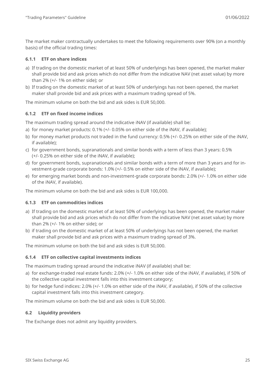The market maker contractually undertakes to meet the following requirements over 90% (on a monthly basis) of the official trading times:

#### **6.1.1 ETF on share indices**

- a) If trading on the domestic market of at least 50% of underlyings has been opened, the market maker shall provide bid and ask prices which do not differ from the indicative NAV (net asset value) by more than 2% (+/- 1% on either side); or
- b) If trading on the domestic market of at least 50% of underlyings has not been opened, the market maker shall provide bid and ask prices with a maximum trading spread of 5%.

The minimum volume on both the bid and ask sides is EUR 50,000.

#### **6.1.2 ETF on fixed income indices**

The maximum trading spread around the indicative iNAV (if available) shall be:

- a) for money market products: 0.1% (+/- 0.05% on either side of the iNAV, if available);
- b) for money market products not traded in the fund currency: 0.5% (+/- 0.25% on either side of the iNAV, if available);
- c) for government bonds, supranationals and similar bonds with a term of less than 3 years: 0.5% (+/- 0.25% on either side of the iNAV, if available);
- d) for government bonds, supranationals and similar bonds with a term of more than 3 years and for investment-grade corporate bonds: 1.0% (+/- 0.5% on either side of the iNAV, if available);
- e) for emerging market bonds and non-investment-grade corporate bonds: 2.0% (+/- 1.0% on either side of the iNAV, if available).

The minimum volume on both the bid and ask sides is EUR 100,000.

#### **6.1.3 ETF on commodities indices**

- a) If trading on the domestic market of at least 50% of underlyings has been opened, the market maker shall provide bid and ask prices which do not differ from the indicative NAV (net asset value) by more than 2% (+/- 1% on either side); or
- b) if trading on the domestic market of at least 50% of underlyings has not been opened, the market maker shall provide bid and ask prices with a maximum trading spread of 3%.

The minimum volume on both the bid and ask sides is EUR 50,000.

#### **6.1.4 ETF on collective capital investments indices**

The maximum trading spread around the indicative iNAV (if available) shall be:

- a) for exchange-traded real estate funds: 2.0% (+/- 1.0% on either side of the iNAV, if available), if 50% of the collective capital investment falls into this investment category;
- b) for hedge fund indices: 2.0% (+/- 1.0% on either side of the iNAV, if available), if 50% of the collective capital investment falls into this investment category.

The minimum volume on both the bid and ask sides is EUR 50,000.

#### **6.2 Liquidity providers**

The Exchange does not admit any liquidity providers.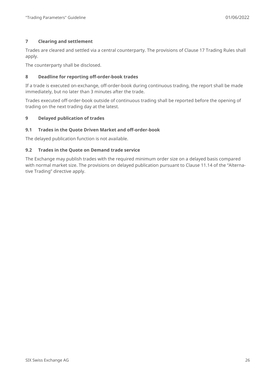#### **7 Clearing and settlement**

Trades are cleared and settled via a central counterparty. The provisions of Clause 17 Trading Rules shall apply.

The counterparty shall be disclosed.

#### **8 Deadline for reporting off-order-book trades**

If a trade is executed on-exchange, off-order-book during continuous trading, the report shall be made immediately, but no later than 3 minutes after the trade.

Trades executed off-order-book outside of continuous trading shall be reported before the opening of trading on the next trading day at the latest.

#### **9 Delayed publication of trades**

#### **9.1 Trades in the Quote Driven Market and off-order-book**

The delayed publication function is not available.

#### **9.2 Trades in the Quote on Demand trade service**

The Exchange may publish trades with the required minimum order size on a delayed basis compared with normal market size. The provisions on delayed publication pursuant to Clause 11.14 of the "Alternative Trading" directive apply.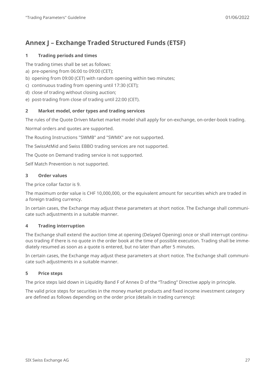# <span id="page-26-0"></span>**Annex J – Exchange Traded Structured Funds (ETSF)**

#### **1 Trading periods and times**

The trading times shall be set as follows:

- a) pre-opening from 06:00 to 09:00 (CET);
- b) opening from 09:00 (CET) with random opening within two minutes;
- c) continuous trading from opening until 17:30 (CET);
- d) close of trading without closing auction;
- e) post-trading from close of trading until 22:00 (CET).

#### **2 Market model, order types and trading services**

The rules of the Quote Driven Market market model shall apply for on-exchange, on-order-book trading.

Normal orders and quotes are supported.

The Routing Instructions "SWMB" and "SWMX" are not supported.

The SwissAtMid and Swiss EBBO trading services are not supported.

The Quote on Demand trading service is not supported.

Self Match Prevention is not supported.

#### **3 Order values**

The price collar factor is 9.

The maximum order value is CHF 10,000,000, or the equivalent amount for securities which are traded in a foreign trading currency.

In certain cases, the Exchange may adjust these parameters at short notice. The Exchange shall communicate such adjustments in a suitable manner.

#### **4 Trading interruption**

The Exchange shall extend the auction time at opening (Delayed Opening) once or shall interrupt continuous trading if there is no quote in the order book at the time of possible execution. Trading shall be immediately resumed as soon as a quote is entered, but no later than after 5 minutes.

In certain cases, the Exchange may adjust these parameters at short notice. The Exchange shall communicate such adjustments in a suitable manner.

#### **5 Price steps**

The price steps laid down in Liquidity Band F of Annex D of the "Trading" Directive apply in principle.

The valid price steps for securities in the money market products and fixed income investment category are defined as follows depending on the order price (details in trading currency):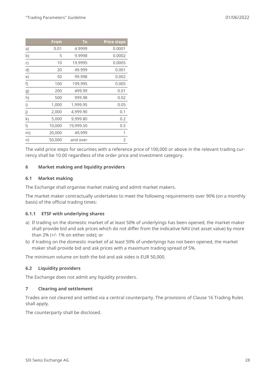|         | <b>From</b> | To        | <b>Price steps</b> |
|---------|-------------|-----------|--------------------|
| a)      | 0.01        | 4.9999    | 0.0001             |
| b)      | 5           | 9.9998    | 0.0002             |
| C)      | 10          | 19.9995   | 0.0005             |
| d)      | 20          | 49.999    | 0.001              |
| e)      | 50          | 99.998    | 0.002              |
| f)      | 100         | 199.995   | 0.005              |
| g)      | 200         | 499.99    | 0.01               |
| h)      | 500         | 999.98    | 0.02               |
| i)      | 1,000       | 1,999.95  | 0.05               |
| j)      | 2,000       | 4,999.90  | 0.1                |
| k)      | 5,000       | 9,999.80  | 0.2                |
| $\vert$ | 10,000      | 19,999.50 | 0.5                |
| m)      | 20,000      | 49,999    | 1                  |
| n)      | 50,000      | and over  | $\overline{2}$     |
|         |             |           |                    |

The valid price steps for securities with a reference price of 100,000 or above in the relevant trading currency shall be 10.00 regardless of the order price and investment category.

#### **6 Market making and liquidity providers**

#### **6.1 Market making**

The Exchange shall organise market making and admit market makers.

The market maker contractually undertakes to meet the following requirements over 90% (on a monthly basis) of the official trading times:

#### **6.1.1 ETSF with underlying shares**

- a) If trading on the domestic market of at least 50% of underlyings has been opened, the market maker shall provide bid and ask prices which do not differ from the indicative NAV (net asset value) by more than 2% (+/- 1% on either side); or
- b) if trading on the domestic market of at least 50% of underlyings has not been opened, the market maker shall provide bid and ask prices with a maximum trading spread of 5%.

The minimum volume on both the bid and ask sides is EUR 50,000.

#### **6.2 Liquidity providers**

The Exchange does not admit any liquidity providers.

#### **7 Clearing and settlement**

Trades are not cleared and settled via a central counterparty. The provisions of Clause 16 Trading Rules shall apply.

The counterparty shall be disclosed.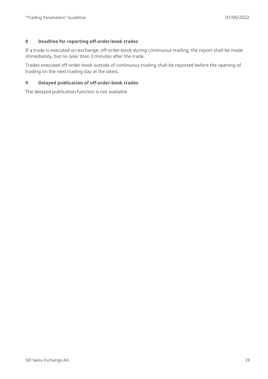#### **8 Deadline for reporting off-order-book trades**

If a trade is executed on-exchange, off-order-book during continuous trading, the report shall be made immediately, but no later than 3 minutes after the trade.

Trades executed off-order-book outside of continuous trading shall be reported before the opening of trading on the next trading day at the latest.

#### **9 Delayed publication of off-order-book trades**

The delayed publication function is not available.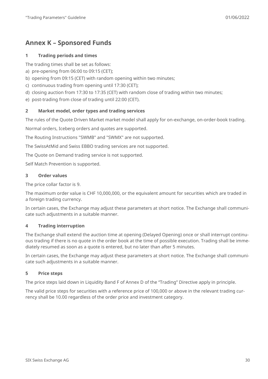# <span id="page-29-0"></span>**Annex K – Sponsored Funds**

#### **1 Trading periods and times**

The trading times shall be set as follows:

- a) pre-opening from 06:00 to 09:15 (CET);
- b) opening from 09:15 (CET) with random opening within two minutes;
- c) continuous trading from opening until 17:30 (CET);
- d) closing auction from 17:30 to 17:35 (CET) with random close of trading within two minutes;
- e) post-trading from close of trading until 22:00 (CET).

#### **2 Market model, order types and trading services**

The rules of the Quote Driven Market market model shall apply for on-exchange, on-order-book trading.

Normal orders, Iceberg orders and quotes are supported.

The Routing Instructions "SWMB" and "SWMX" are not supported.

The SwissAtMid and Swiss EBBO trading services are not supported.

The Quote on Demand trading service is not supported.

Self Match Prevention is supported.

#### **3 Order values**

The price collar factor is 9.

The maximum order value is CHF 10,000,000, or the equivalent amount for securities which are traded in a foreign trading currency.

In certain cases, the Exchange may adjust these parameters at short notice. The Exchange shall communicate such adjustments in a suitable manner.

#### **4 Trading interruption**

The Exchange shall extend the auction time at opening (Delayed Opening) once or shall interrupt continuous trading if there is no quote in the order book at the time of possible execution. Trading shall be immediately resumed as soon as a quote is entered, but no later than after 5 minutes.

In certain cases, the Exchange may adjust these parameters at short notice. The Exchange shall communicate such adjustments in a suitable manner.

#### **5 Price steps**

The price steps laid down in Liquidity Band F of Annex D of the "Trading" Directive apply in principle.

The valid price steps for securities with a reference price of 100,000 or above in the relevant trading currency shall be 10.00 regardless of the order price and investment category.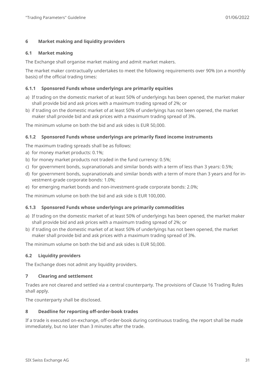#### **6 Market making and liquidity providers**

#### **6.1 Market making**

The Exchange shall organise market making and admit market makers.

The market maker contractually undertakes to meet the following requirements over 90% (on a monthly basis) of the official trading times:

#### **6.1.1 Sponsored Funds whose underlyings are primarily equities**

- a) If trading on the domestic market of at least 50% of underlyings has been opened, the market maker shall provide bid and ask prices with a maximum trading spread of 2%; or
- b) if trading on the domestic market of at least 50% of underlyings has not been opened, the market maker shall provide bid and ask prices with a maximum trading spread of 3%.

The minimum volume on both the bid and ask sides is EUR 50,000.

#### **6.1.2 Sponsored Funds whose underlyings are primarily fixed income instruments**

The maximum trading spreads shall be as follows:

- a) for money market products: 0.1%;
- b) for money market products not traded in the fund currency: 0.5%;
- c) for government bonds, supranationals and similar bonds with a term of less than 3 years: 0.5%;
- d) for government bonds, supranationals and similar bonds with a term of more than 3 years and for investment-grade corporate bonds: 1.0%;
- e) for emerging market bonds and non-investment-grade corporate bonds: 2.0%;

The minimum volume on both the bid and ask side is EUR 100,000.

#### **6.1.3 Sponsored Funds whose underlyings are primarily commodities**

- a) If trading on the domestic market of at least 50% of underlyings has been opened, the market maker shall provide bid and ask prices with a maximum trading spread of 2%; or
- b) if trading on the domestic market of at least 50% of underlyings has not been opened, the market maker shall provide bid and ask prices with a maximum trading spread of 3%.

The minimum volume on both the bid and ask sides is EUR 50,000.

#### **6.2 Liquidity providers**

The Exchange does not admit any liquidity providers.

#### **7 Clearing and settlement**

Trades are not cleared and settled via a central counterparty. The provisions of Clause 16 Trading Rules shall apply.

The counterparty shall be disclosed.

#### **8 Deadline for reporting off-order-book trades**

If a trade is executed on-exchange, off-order-book during continuous trading, the report shall be made immediately, but no later than 3 minutes after the trade.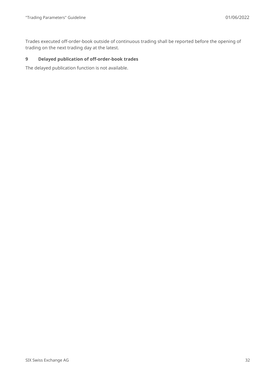Trades executed off-order-book outside of continuous trading shall be reported before the opening of trading on the next trading day at the latest.

#### **9 Delayed publication of off-order-book trades**

The delayed publication function is not available.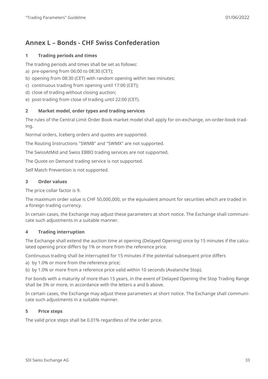# <span id="page-32-0"></span>**Annex L – Bonds - CHF Swiss Confederation**

#### **1 Trading periods and times**

The trading periods and times shall be set as follows:

- a) pre-opening from 06:00 to 08:30 (CET);
- b) opening from 08:30 (CET) with random opening within two minutes;
- c) continuous trading from opening until 17:00 (CET);
- d) close of trading without closing auction;
- e) post-trading from close of trading until 22:00 (CET).

#### **2 Market model, order types and trading services**

The rules of the Central Limit Order Book market model shall apply for on-exchange, on-order-book trading.

Normal orders, Iceberg orders and quotes are supported.

The Routing Instructions "SWMB" and "SWMX" are not supported.

The SwissAtMid and Swiss EBBO trading services are not supported.

The Quote on Demand trading service is not supported.

Self Match Prevention is not supported.

#### **3 Order values**

The price collar factor is 9.

The maximum order value is CHF 50,000,000, or the equivalent amount for securities which are traded in a foreign trading currency.

In certain cases, the Exchange may adjust these parameters at short notice. The Exchange shall communicate such adjustments in a suitable manner.

#### **4 Trading interruption**

The Exchange shall extend the auction time at opening (Delayed Opening) once by 15 minutes if the calculated opening price differs by 1% or more from the reference price.

Continuous trading shall be interrupted for 15 minutes if the potential subsequent price differs

a) by 1.0% or more from the reference price;

b) by 1.0% or more from a reference price valid within 10 seconds (Avalanche Stop).

For bonds with a maturity of more than 15 years, in the event of Delayed Opening the Stop Trading Range shall be 3% or more, in accordance with the letters a and b above.

In certain cases, the Exchange may adjust these parameters at short notice. The Exchange shall communicate such adjustments in a suitable manner.

#### **5 Price steps**

The valid price steps shall be 0.01% regardless of the order price.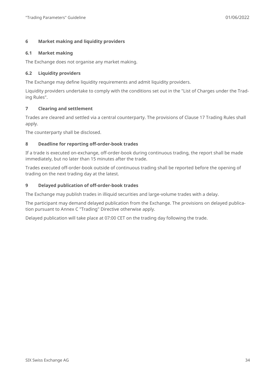#### **6 Market making and liquidity providers**

#### **6.1 Market making**

The Exchange does not organise any market making.

#### **6.2 Liquidity providers**

The Exchange may define liquidity requirements and admit liquidity providers.

Liquidity providers undertake to comply with the conditions set out in the "List of Charges under the Trading Rules".

#### **7 Clearing and settlement**

Trades are cleared and settled via a central counterparty. The provisions of Clause 17 Trading Rules shall apply.

The counterparty shall be disclosed.

#### **8 Deadline for reporting off-order-book trades**

If a trade is executed on-exchange, off-order-book during continuous trading, the report shall be made immediately, but no later than 15 minutes after the trade.

Trades executed off-order-book outside of continuous trading shall be reported before the opening of trading on the next trading day at the latest.

#### **9 Delayed publication of off-order-book trades**

The Exchange may publish trades in illiquid securities and large-volume trades with a delay.

The participant may demand delayed publication from the Exchange. The provisions on delayed publication pursuant to Annex C "Trading" Directive otherwise apply.

Delayed publication will take place at 07:00 CET on the trading day following the trade.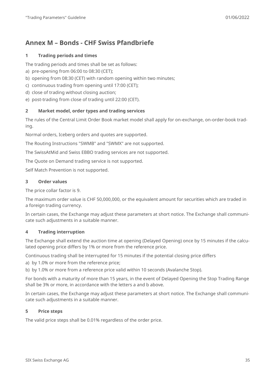# <span id="page-34-0"></span>**Annex M – Bonds - CHF Swiss Pfandbriefe**

#### **1 Trading periods and times**

The trading periods and times shall be set as follows:

- a) pre-opening from 06:00 to 08:30 (CET);
- b) opening from 08:30 (CET) with random opening within two minutes;
- c) continuous trading from opening until 17:00 (CET);
- d) close of trading without closing auction;
- e) post-trading from close of trading until 22:00 (CET).

#### **2 Market model, order types and trading services**

The rules of the Central Limit Order Book market model shall apply for on-exchange, on-order-book trading.

Normal orders, Iceberg orders and quotes are supported.

The Routing Instructions "SWMB" and "SWMX" are not supported.

The SwissAtMid and Swiss EBBO trading services are not supported.

The Quote on Demand trading service is not supported.

Self Match Prevention is not supported.

#### **3 Order values**

The price collar factor is 9.

The maximum order value is CHF 50,000,000, or the equivalent amount for securities which are traded in a foreign trading currency.

In certain cases, the Exchange may adjust these parameters at short notice. The Exchange shall communicate such adjustments in a suitable manner.

#### **4 Trading interruption**

The Exchange shall extend the auction time at opening (Delayed Opening) once by 15 minutes if the calculated opening price differs by 1% or more from the reference price.

Continuous trading shall be interrupted for 15 minutes if the potential closing price differs

a) by 1.0% or more from the reference price;

b) by 1.0% or more from a reference price valid within 10 seconds (Avalanche Stop).

For bonds with a maturity of more than 15 years, in the event of Delayed Opening the Stop Trading Range shall be 3% or more, in accordance with the letters a and b above.

In certain cases, the Exchange may adjust these parameters at short notice. The Exchange shall communicate such adjustments in a suitable manner.

#### **5 Price steps**

The valid price steps shall be 0.01% regardless of the order price.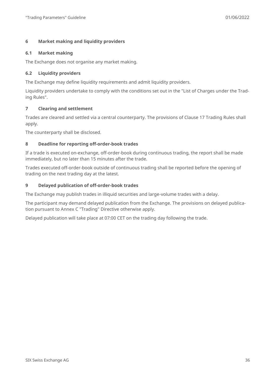#### **6 Market making and liquidity providers**

#### **6.1 Market making**

The Exchange does not organise any market making.

#### **6.2 Liquidity providers**

The Exchange may define liquidity requirements and admit liquidity providers.

Liquidity providers undertake to comply with the conditions set out in the "List of Charges under the Trading Rules".

#### **7 Clearing and settlement**

Trades are cleared and settled via a central counterparty. The provisions of Clause 17 Trading Rules shall apply.

The counterparty shall be disclosed.

#### **8 Deadline for reporting off-order-book trades**

If a trade is executed on-exchange, off-order-book during continuous trading, the report shall be made immediately, but no later than 15 minutes after the trade.

Trades executed off-order-book outside of continuous trading shall be reported before the opening of trading on the next trading day at the latest.

#### **9 Delayed publication of off-order-book trades**

The Exchange may publish trades in illiquid securities and large-volume trades with a delay.

The participant may demand delayed publication from the Exchange. The provisions on delayed publication pursuant to Annex C "Trading" Directive otherwise apply.

Delayed publication will take place at 07:00 CET on the trading day following the trade.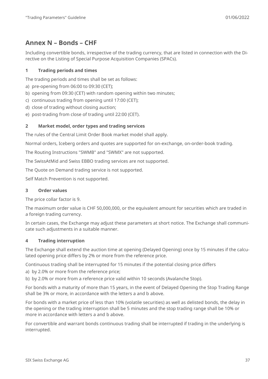# <span id="page-36-0"></span>**Annex N – Bonds – CHF**

Including convertible bonds, irrespective of the trading currency, that are listed in connection with the Directive on the Listing of Special Purpose Acquisition Companies (SPACs).

#### **1 Trading periods and times**

The trading periods and times shall be set as follows:

- a) pre-opening from 06:00 to 09:30 (CET);
- b) opening from 09:30 (CET) with random opening within two minutes;
- c) continuous trading from opening until 17:00 (CET);
- d) close of trading without closing auction;
- e) post-trading from close of trading until 22:00 (CET).

#### **2 Market model, order types and trading services**

The rules of the Central Limit Order Book market model shall apply.

Normal orders, Iceberg orders and quotes are supported for on-exchange, on-order-book trading.

The Routing Instructions "SWMB" and "SWMX" are not supported.

The SwissAtMid and Swiss EBBO trading services are not supported.

The Quote on Demand trading service is not supported.

Self Match Prevention is not supported.

#### **3 Order values**

The price collar factor is 9.

The maximum order value is CHF 50,000,000, or the equivalent amount for securities which are traded in a foreign trading currency.

In certain cases, the Exchange may adjust these parameters at short notice. The Exchange shall communicate such adjustments in a suitable manner.

#### **4 Trading interruption**

The Exchange shall extend the auction time at opening (Delayed Opening) once by 15 minutes if the calculated opening price differs by 2% or more from the reference price.

Continuous trading shall be interrupted for 15 minutes if the potential closing price differs

- a) by 2.0% or more from the reference price;
- b) by 2.0% or more from a reference price valid within 10 seconds (Avalanche Stop).

For bonds with a maturity of more than 15 years, in the event of Delayed Opening the Stop Trading Range shall be 3% or more, in accordance with the letters a and b above.

For bonds with a market price of less than 10% (volatile securities) as well as delisted bonds, the delay in the opening or the trading interruption shall be 5 minutes and the stop trading range shall be 10% or more in accordance with letters a and b above.

For convertible and warrant bonds continuous trading shall be interrupted if trading in the underlying is interrupted.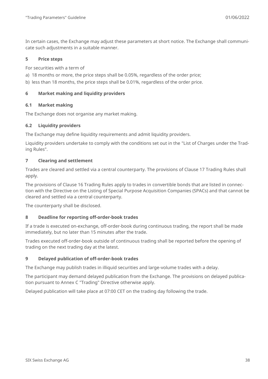In certain cases, the Exchange may adjust these parameters at short notice. The Exchange shall communicate such adjustments in a suitable manner.

#### **5 Price steps**

For securities with a term of

- a) 18 months or more, the price steps shall be 0.05%, regardless of the order price;
- b) less than 18 months, the price steps shall be 0.01%, regardless of the order price.

#### **6 Market making and liquidity providers**

#### **6.1 Market making**

The Exchange does not organise any market making.

#### **6.2 Liquidity providers**

The Exchange may define liquidity requirements and admit liquidity providers.

Liquidity providers undertake to comply with the conditions set out in the "List of Charges under the Trading Rules".

#### **7 Clearing and settlement**

Trades are cleared and settled via a central counterparty. The provisions of Clause 17 Trading Rules shall apply.

The provisions of Clause 16 Trading Rules apply to trades in convertible bonds that are listed in connection with the Directive on the Listing of Special Purpose Acquisition Companies (SPACs) and that cannot be cleared and settled via a central counterparty.

The counterparty shall be disclosed.

#### **8 Deadline for reporting off-order-book trades**

If a trade is executed on-exchange, off-order-book during continuous trading, the report shall be made immediately, but no later than 15 minutes after the trade.

Trades executed off-order-book outside of continuous trading shall be reported before the opening of trading on the next trading day at the latest.

#### **9 Delayed publication of off-order-book trades**

The Exchange may publish trades in illiquid securities and large-volume trades with a delay.

The participant may demand delayed publication from the Exchange. The provisions on delayed publication pursuant to Annex C "Trading" Directive otherwise apply.

Delayed publication will take place at 07:00 CET on the trading day following the trade.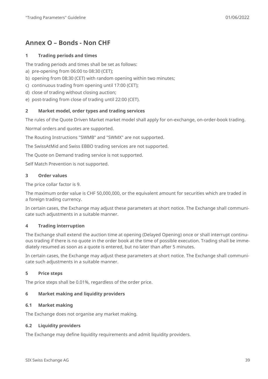## <span id="page-38-0"></span>**Annex O – Bonds - Non CHF**

#### **1 Trading periods and times**

The trading periods and times shall be set as follows:

- a) pre-opening from 06:00 to 08:30 (CET);
- b) opening from 08:30 (CET) with random opening within two minutes;
- c) continuous trading from opening until 17:00 (CET);
- d) close of trading without closing auction;
- e) post-trading from close of trading until 22:00 (CET).

#### **2 Market model, order types and trading services**

The rules of the Quote Driven Market market model shall apply for on-exchange, on-order-book trading.

Normal orders and quotes are supported.

The Routing Instructions "SWMB" and "SWMX" are not supported.

The SwissAtMid and Swiss EBBO trading services are not supported.

The Quote on Demand trading service is not supported.

Self Match Prevention is not supported.

#### **3 Order values**

The price collar factor is 9.

The maximum order value is CHF 50,000,000, or the equivalent amount for securities which are traded in a foreign trading currency.

In certain cases, the Exchange may adjust these parameters at short notice. The Exchange shall communicate such adjustments in a suitable manner.

#### **4 Trading interruption**

The Exchange shall extend the auction time at opening (Delayed Opening) once or shall interrupt continuous trading if there is no quote in the order book at the time of possible execution. Trading shall be immediately resumed as soon as a quote is entered, but no later than after 5 minutes.

In certain cases, the Exchange may adjust these parameters at short notice. The Exchange shall communicate such adjustments in a suitable manner.

#### **5 Price steps**

The price steps shall be 0.01%, regardless of the order price.

#### **6 Market making and liquidity providers**

#### **6.1 Market making**

The Exchange does not organise any market making.

#### **6.2 Liquidity providers**

The Exchange may define liquidity requirements and admit liquidity providers.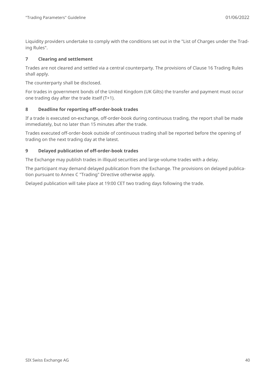Liquidity providers undertake to comply with the conditions set out in the "List of Charges under the Trading Rules".

#### **7 Clearing and settlement**

Trades are not cleared and settled via a central counterparty. The provisions of Clause 16 Trading Rules shall apply.

The counterparty shall be disclosed.

For trades in government bonds of the United Kingdom (UK Gilts) the transfer and payment must occur one trading day after the trade itself (T+1).

#### **8 Deadline for reporting off-order-book trades**

If a trade is executed on-exchange, off-order-book during continuous trading, the report shall be made immediately, but no later than 15 minutes after the trade.

Trades executed off-order-book outside of continuous trading shall be reported before the opening of trading on the next trading day at the latest.

#### **9 Delayed publication of off-order-book trades**

The Exchange may publish trades in illiquid securities and large-volume trades with a delay.

The participant may demand delayed publication from the Exchange. The provisions on delayed publication pursuant to Annex C "Trading" Directive otherwise apply.

Delayed publication will take place at 19:00 CET two trading days following the trade.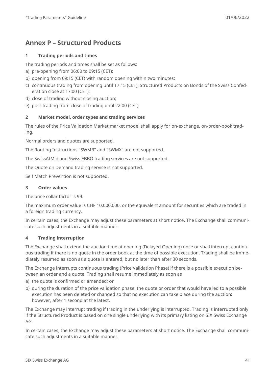# <span id="page-40-0"></span>**Annex P – Structured Products**

#### **1 Trading periods and times**

The trading periods and times shall be set as follows:

- a) pre-opening from 06:00 to 09:15 (CET);
- b) opening from 09:15 (CET) with random opening within two minutes;
- c) continuous trading from opening until 17:15 (CET); Structured Products on Bonds of the Swiss Confederation close at 17:00 (CET);
- d) close of trading without closing auction;
- e) post-trading from close of trading until 22:00 (CET).

#### **2 Market model, order types and trading services**

The rules of the Price Validation Market market model shall apply for on-exchange, on-order-book trading.

Normal orders and quotes are supported.

The Routing Instructions "SWMB" and "SWMX" are not supported.

The SwissAtMid and Swiss EBBO trading services are not supported.

The Quote on Demand trading service is not supported.

Self Match Prevention is not supported.

#### **3 Order values**

The price collar factor is 99.

The maximum order value is CHF 10,000,000, or the equivalent amount for securities which are traded in a foreign trading currency.

In certain cases, the Exchange may adjust these parameters at short notice. The Exchange shall communicate such adjustments in a suitable manner.

#### **4 Trading interruption**

The Exchange shall extend the auction time at opening (Delayed Opening) once or shall interrupt continuous trading if there is no quote in the order book at the time of possible execution. Trading shall be immediately resumed as soon as a quote is entered, but no later than after 30 seconds.

The Exchange interrupts continuous trading (Price Validation Phase) if there is a possible execution between an order and a quote. Trading shall resume immediately as soon as

- a) the quote is confirmed or amended; or
- b) during the duration of the price validation phase, the quote or order that would have led to a possible execution has been deleted or changed so that no execution can take place during the auction; however, after 1 second at the latest.

The Exchange may interrupt trading if trading in the underlying is interrupted. Trading is interrupted only if the Structured Product is based on one single underlying with its primary listing on SIX Swiss Exchange AG.

In certain cases, the Exchange may adjust these parameters at short notice. The Exchange shall communicate such adjustments in a suitable manner.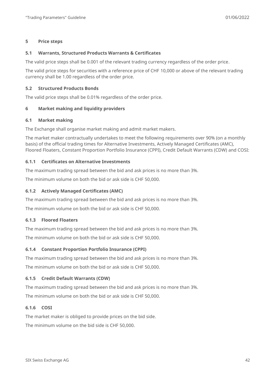#### **5 Price steps**

#### **5.1 Warrants, Structured Products Warrants & Certificates**

The valid price steps shall be 0.001 of the relevant trading currency regardless of the order price.

The valid price steps for securities with a reference price of CHF 10,000 or above of the relevant trading currency shall be 1.00 regardless of the order price.

#### **5.2 Structured Products Bonds**

The valid price steps shall be 0.01% regardless of the order price.

#### **6 Market making and liquidity providers**

#### **6.1 Market making**

The Exchange shall organise market making and admit market makers.

The market maker contractually undertakes to meet the following requirements over 90% (on a monthly basis) of the official trading times for Alternative Investments, Actively Managed Certificates (AMC), Floored Floaters, Constant Proportion Portfolio Insurance (CPPI), Credit Default Warrants (CDW) and COSI:

#### **6.1.1 Certificates on Alternative Investments**

The maximum trading spread between the bid and ask prices is no more than 3%.

The minimum volume on both the bid or ask side is CHF 50,000.

#### **6.1.2 Actively Managed Certificates (AMC)**

The maximum trading spread between the bid and ask prices is no more than 3%.

The minimum volume on both the bid or ask side is CHF 50,000.

#### **6.1.3 Floored Floaters**

The maximum trading spread between the bid and ask prices is no more than 3%.

The minimum volume on both the bid or ask side is CHF 50,000.

#### **6.1.4 Constant Proportion Portfolio Insurance (CPPI)**

The maximum trading spread between the bid and ask prices is no more than 3%.

The minimum volume on both the bid or ask side is CHF 50,000.

#### **6.1.5 Credit Default Warrants (CDW)**

The maximum trading spread between the bid and ask prices is no more than 3%. The minimum volume on both the bid or ask side is CHF 50,000.

#### **6.1.6 COSI**

The market maker is obliged to provide prices on the bid side. The minimum volume on the bid side is CHF 50,000.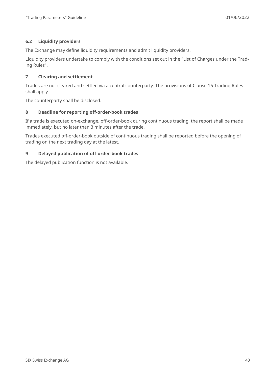#### **6.2 Liquidity providers**

The Exchange may define liquidity requirements and admit liquidity providers.

Liquidity providers undertake to comply with the conditions set out in the "List of Charges under the Trading Rules".

#### **7 Clearing and settlement**

Trades are not cleared and settled via a central counterparty. The provisions of Clause 16 Trading Rules shall apply.

The counterparty shall be disclosed.

#### **8 Deadline for reporting off-order-book trades**

If a trade is executed on-exchange, off-order-book during continuous trading, the report shall be made immediately, but no later than 3 minutes after the trade.

Trades executed off-order-book outside of continuous trading shall be reported before the opening of trading on the next trading day at the latest.

#### **9 Delayed publication of off-order-book trades**

The delayed publication function is not available.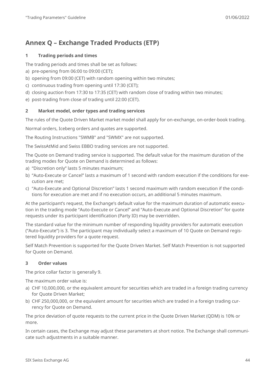# <span id="page-43-0"></span>**Annex Q – Exchange Traded Products (ETP)**

#### **1 Trading periods and times**

The trading periods and times shall be set as follows:

- a) pre-opening from 06:00 to 09:00 (CET);
- b) opening from 09:00 (CET) with random opening within two minutes;
- c) continuous trading from opening until 17:30 (CET);
- d) closing auction from 17:30 to 17:35 (CET) with random close of trading within two minutes;
- e) post-trading from close of trading until 22:00 (CET).

#### **2 Market model, order types and trading services**

The rules of the Quote Driven Market market model shall apply for on-exchange, on-order-book trading.

Normal orders, Iceberg orders and quotes are supported.

The Routing Instructions "SWMB" and "SWMX" are not supported.

The SwissAtMid and Swiss EBBO trading services are not supported.

The Quote on Demand trading service is supported. The default value for the maximum duration of the trading modes for Quote on Demand is determined as follows:

- a) "Discretion only" lasts 5 minutes maximum;
- b) "Auto-Execute or Cancel" lasts a maximum of 1 second with random execution if the conditions for execution are met;
- c) "Auto-Execute and Optional Discretion" lasts 1 second maximum with random execution if the conditions for execution are met and if no execution occurs, an additional 5 minutes maximum.

At the participant's request, the Exchange's default value for the maximum duration of automatic execution in the trading mode "Auto-Execute or Cancel" and "Auto-Execute and Optional Discretion" for quote requests under its participant identification (Party ID) may be overridden.

The standard value for the minimum number of responding liquidity providers for automatic execution ("Auto-Execute") is 3. The participant may individually select a maximum of 10 Quote on Demand registered liquidity providers for a quote request.

Self Match Prevention is supported for the Quote Driven Market. Self Match Prevention is not supported for Quote on Demand.

#### **3 Order values**

The price collar factor is generally 9.

The maximum order value is:

- a) CHF 10,000,000, or the equivalent amount for securities which are traded in a foreign trading currency for Quote Driven Market;
- b) CHF 250,000,000, or the equivalent amount for securities which are traded in a foreign trading currency for Quote on Demand.

The price deviation of quote requests to the current price in the Quote Driven Market (QDM) is 10% or more.

In certain cases, the Exchange may adjust these parameters at short notice. The Exchange shall communicate such adjustments in a suitable manner.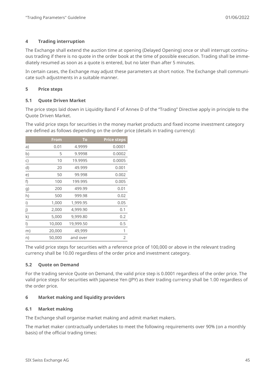#### **4 Trading interruption**

The Exchange shall extend the auction time at opening (Delayed Opening) once or shall interrupt continuous trading if there is no quote in the order book at the time of possible execution. Trading shall be immediately resumed as soon as a quote is entered, but no later than after 5 minutes.

In certain cases, the Exchange may adjust these parameters at short notice. The Exchange shall communicate such adjustments in a suitable manner.

#### **5 Price steps**

#### **5.1 Quote Driven Market**

The price steps laid down in Liquidity Band F of Annex D of the "Trading" Directive apply in principle to the Quote Driven Market.

The valid price steps for securities in the money market products and fixed income investment category are defined as follows depending on the order price (details in trading currency):

|         | <b>From</b> | To        | <b>Price steps</b> |
|---------|-------------|-----------|--------------------|
| a)      | 0.01        | 4.9999    | 0.0001             |
| b)      | 5           | 9.9998    | 0.0002             |
| C)      | 10          | 19.9995   | 0.0005             |
| d)      | 20          | 49.999    | 0.001              |
| e)      | 50          | 99.998    | 0.002              |
| f)      | 100         | 199.995   | 0.005              |
| g)      | 200         | 499.99    | 0.01               |
| h)      | 500         | 999.98    | 0.02               |
| i)      | 1,000       | 1,999.95  | 0.05               |
| j)      | 2,000       | 4,999.90  | 0.1                |
| k)      | 5,000       | 9,999.80  | 0.2                |
| $\vert$ | 10,000      | 19,999.50 | 0.5                |
| m)      | 20,000      | 49,999    | 1                  |
| n)      | 50,000      | and over  | $\overline{2}$     |

The valid price steps for securities with a reference price of 100,000 or above in the relevant trading currency shall be 10.00 regardless of the order price and investment category.

#### **5.2 Quote on Demand**

For the trading service Quote on Demand, the valid price step is 0.0001 regardless of the order price. The valid price steps for securities with Japanese Yen (JPY) as their trading currency shall be 1.00 regardless of the order price.

#### **6 Market making and liquidity providers**

#### **6.1 Market making**

The Exchange shall organise market making and admit market makers.

The market maker contractually undertakes to meet the following requirements over 90% (on a monthly basis) of the official trading times: